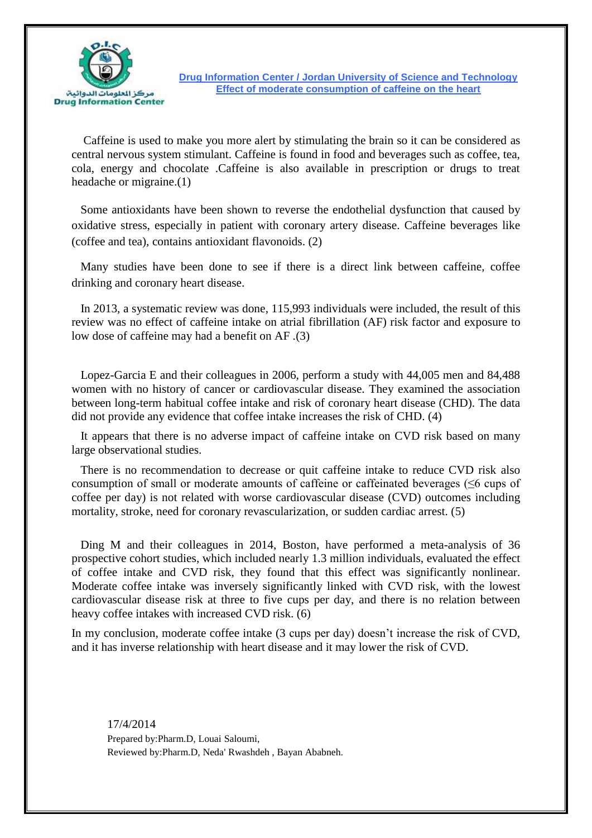

**Drug Information Center / Jordan University of Science and Technology Effect of moderate consumption of caffeine on the heart**

 Caffeine is used to make you more alert by stimulating the brain so it can be considered as central nervous system stimulant. Caffeine is found in food and beverages such as coffee, tea, cola, energy and chocolate .Caffeine is also available in prescription or drugs to treat headache or migraine.(1)

 Some antioxidants have been shown to reverse the endothelial dysfunction that caused by oxidative stress, especially in patient with coronary artery disease. Caffeine beverages like (coffee and tea), contains antioxidant flavonoids. (2)

 Many studies have been done to see if there is a direct link between caffeine, coffee drinking and coronary heart disease.

 In 2013, a systematic review was done, 115,993 individuals were included, the result of this review was no effect of caffeine intake on atrial fibrillation (AF) risk factor and exposure to low dose of caffeine may had a benefit on AF .(3)

 Lopez-Garcia E and their colleagues in 2006, perform a study with 44,005 men and 84,488 women with no history of cancer or cardiovascular disease. They examined the association between long-term habitual coffee intake and risk of coronary heart disease (CHD). The data did not provide any evidence that coffee intake increases the risk of CHD. (4)

 It appears that there is no adverse impact of caffeine intake on CVD risk based on many large observational studies.

 There is no recommendation to decrease or quit caffeine intake to reduce CVD risk also consumption of small or moderate amounts of caffeine or caffeinated beverages (≤6 cups of coffee per day) is not related with worse cardiovascular disease (CVD) outcomes including mortality, stroke, need for coronary revascularization, or sudden cardiac arrest. (5)

 Ding M and their colleagues in 2014, Boston, have performed a meta-analysis of 36 prospective cohort studies, which included nearly 1.3 million individuals, evaluated the effect of coffee intake and CVD risk, they found that this effect was significantly nonlinear. Moderate coffee intake was inversely significantly linked with CVD risk, with the lowest cardiovascular disease risk at three to five cups per day, and there is no relation between heavy coffee intakes with increased CVD risk. (6)

In my conclusion, moderate coffee intake (3 cups per day) doesn't increase the risk of CVD, and it has inverse relationship with heart disease and it may lower the risk of CVD.

17/4/2014 Prepared by:Pharm.D, Louai Saloumi, Reviewed by:Pharm.D, Neda' Rwashdeh , Bayan Ababneh.